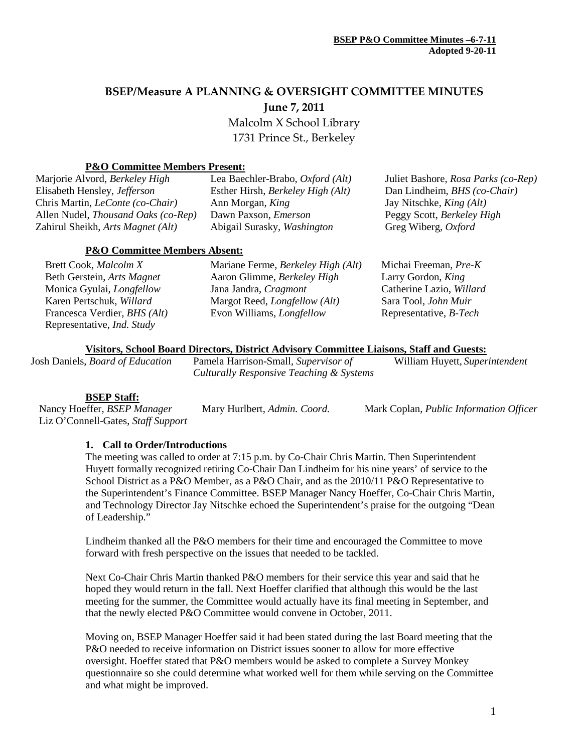# **BSEP/Measure A PLANNING & OVERSIGHT COMMITTEE MINUTES June 7, 2011**

Malcolm X School Library 1731 Prince St., Berkeley

#### **P&O Committee Members Present:**

| Marjorie Alvord, Berkeley High             | Lea Baechler-Brabo, Oxford (Alt)  | Juliet Bashore, Rosa Parks (co-Rep) |  |  |
|--------------------------------------------|-----------------------------------|-------------------------------------|--|--|
| Elisabeth Hensley, <i>Jefferson</i>        | Esther Hirsh, Berkeley High (Alt) | Dan Lindheim, BHS (co-Chair)        |  |  |
| Chris Martin, <i>LeConte</i> (co-Chair)    | Ann Morgan, King                  | Jay Nitschke, <i>King (Alt)</i>     |  |  |
| Allen Nudel, <i>Thousand Oaks</i> (co-Rep) | Dawn Paxson, <i>Emerson</i>       | Peggy Scott, Berkeley High          |  |  |
| Zahirul Sheikh, Arts Magnet (Alt)          | Abigail Surasky, Washington       | Greg Wiberg, Oxford                 |  |  |
| <b>P&amp;O Committee Members Absent:</b>   |                                   |                                     |  |  |
|                                            |                                   |                                     |  |  |

| Brett Cook, Malcolm X                        | Mariane Ferme, Berkeley High (Alt)   | Michai Freeman, Pre-K         |
|----------------------------------------------|--------------------------------------|-------------------------------|
| Beth Gerstein, Arts Magnet                   | Aaron Glimme, Berkeley High          | Larry Gordon, King            |
| Monica Gyulai, <i>Longfellow</i>             | Jana Jandra, Cragmont                | Catherine Lazio, Willard      |
| Karen Pertschuk, Willard                     | Margot Reed, <i>Longfellow</i> (Alt) | Sara Tool, John Muir          |
| Francesca Verdier, <i>BHS</i> ( <i>Alt</i> ) | Evon Williams, <i>Longfellow</i>     | Representative, <i>B-Tech</i> |
| Representative, <i>Ind. Study</i>            |                                      |                               |

# **Visitors, School Board Directors, District Advisory Committee Liaisons, Staff and Guests:**

Josh Daniels, *Board of Education* Pamela Harrison-Small, *Supervisor of* 

*Culturally Responsive Teaching & Systems*

William Huyett, *Superintendent*

**BSEP Staff:**<br>Nancy Hoeffer, *BSEP Manager* Liz O'Connell-Gates, *Staff Support*

Nancy Hoeffer, *BSEP Manager* Mary Hurlbert, *Admin. Coord.* Mark Coplan, *Public Information Officer*

#### **1. Call to Order/Introductions**

The meeting was called to order at 7:15 p.m. by Co-Chair Chris Martin. Then Superintendent Huyett formally recognized retiring Co-Chair Dan Lindheim for his nine years' of service to the School District as a P&O Member, as a P&O Chair, and as the 2010/11 P&O Representative to the Superintendent's Finance Committee. BSEP Manager Nancy Hoeffer, Co-Chair Chris Martin, and Technology Director Jay Nitschke echoed the Superintendent's praise for the outgoing "Dean of Leadership."

Lindheim thanked all the P&O members for their time and encouraged the Committee to move forward with fresh perspective on the issues that needed to be tackled.

Next Co-Chair Chris Martin thanked P&O members for their service this year and said that he hoped they would return in the fall. Next Hoeffer clarified that although this would be the last meeting for the summer, the Committee would actually have its final meeting in September, and that the newly elected P&O Committee would convene in October, 2011.

Moving on, BSEP Manager Hoeffer said it had been stated during the last Board meeting that the P&O needed to receive information on District issues sooner to allow for more effective oversight. Hoeffer stated that P&O members would be asked to complete a Survey Monkey questionnaire so she could determine what worked well for them while serving on the Committee and what might be improved.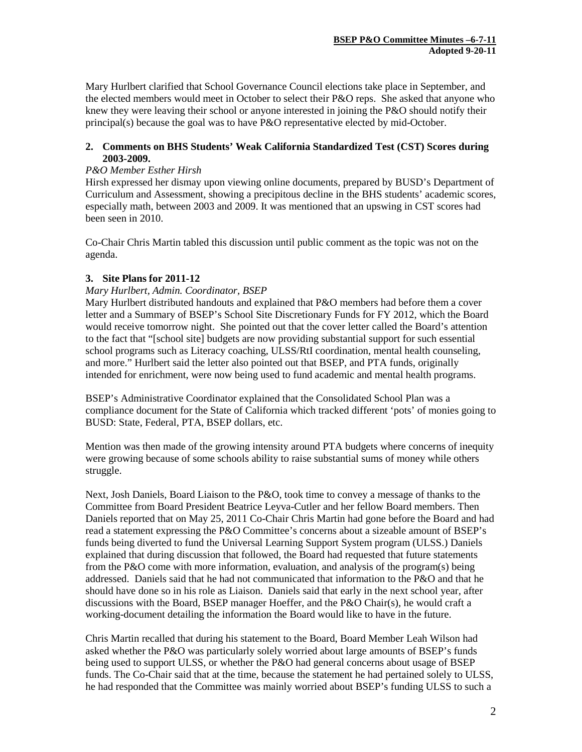Mary Hurlbert clarified that School Governance Council elections take place in September, and the elected members would meet in October to select their P&O reps. She asked that anyone who knew they were leaving their school or anyone interested in joining the P&O should notify their principal(s) because the goal was to have P&O representative elected by mid-October.

# **2. Comments on BHS Students' Weak California Standardized Test (CST) Scores during 2003-2009.**

# *P&O Member Esther Hirsh*

Hirsh expressed her dismay upon viewing online documents, prepared by BUSD's Department of Curriculum and Assessment, showing a precipitous decline in the BHS students' academic scores, especially math, between 2003 and 2009. It was mentioned that an upswing in CST scores had been seen in 2010.

Co-Chair Chris Martin tabled this discussion until public comment as the topic was not on the agenda.

# **3. Site Plans for 2011-12**

#### *Mary Hurlbert, Admin. Coordinator, BSEP*

Mary Hurlbert distributed handouts and explained that P&O members had before them a cover letter and a Summary of BSEP's School Site Discretionary Funds for FY 2012, which the Board would receive tomorrow night. She pointed out that the cover letter called the Board's attention to the fact that "[school site] budgets are now providing substantial support for such essential school programs such as Literacy coaching, ULSS/RtI coordination, mental health counseling, and more." Hurlbert said the letter also pointed out that BSEP, and PTA funds, originally intended for enrichment, were now being used to fund academic and mental health programs.

BSEP's Administrative Coordinator explained that the Consolidated School Plan was a compliance document for the State of California which tracked different 'pots' of monies going to BUSD: State, Federal, PTA, BSEP dollars, etc.

Mention was then made of the growing intensity around PTA budgets where concerns of inequity were growing because of some schools ability to raise substantial sums of money while others struggle.

Next, Josh Daniels, Board Liaison to the P&O, took time to convey a message of thanks to the Committee from Board President Beatrice Leyva-Cutler and her fellow Board members. Then Daniels reported that on May 25, 2011 Co-Chair Chris Martin had gone before the Board and had read a statement expressing the P&O Committee's concerns about a sizeable amount of BSEP's funds being diverted to fund the Universal Learning Support System program (ULSS.) Daniels explained that during discussion that followed, the Board had requested that future statements from the P&O come with more information, evaluation, and analysis of the program(s) being addressed. Daniels said that he had not communicated that information to the P&O and that he should have done so in his role as Liaison. Daniels said that early in the next school year, after discussions with the Board, BSEP manager Hoeffer, and the P&O Chair(s), he would craft a working-document detailing the information the Board would like to have in the future.

Chris Martin recalled that during his statement to the Board, Board Member Leah Wilson had asked whether the P&O was particularly solely worried about large amounts of BSEP's funds being used to support ULSS, or whether the P&O had general concerns about usage of BSEP funds. The Co-Chair said that at the time, because the statement he had pertained solely to ULSS, he had responded that the Committee was mainly worried about BSEP's funding ULSS to such a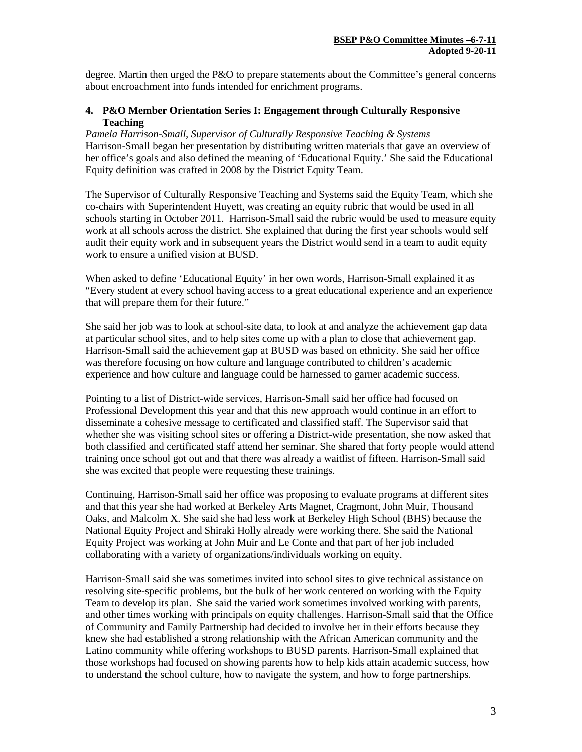degree. Martin then urged the P&O to prepare statements about the Committee's general concerns about encroachment into funds intended for enrichment programs.

# **4. P&O Member Orientation Series I: Engagement through Culturally Responsive Teaching**

*Pamela Harrison-Small, Supervisor of Culturally Responsive Teaching & Systems* Harrison-Small began her presentation by distributing written materials that gave an overview of her office's goals and also defined the meaning of 'Educational Equity.' She said the Educational Equity definition was crafted in 2008 by the District Equity Team.

The Supervisor of Culturally Responsive Teaching and Systems said the Equity Team, which she co-chairs with Superintendent Huyett, was creating an equity rubric that would be used in all schools starting in October 2011. Harrison-Small said the rubric would be used to measure equity work at all schools across the district. She explained that during the first year schools would self audit their equity work and in subsequent years the District would send in a team to audit equity work to ensure a unified vision at BUSD.

When asked to define 'Educational Equity' in her own words, Harrison-Small explained it as "Every student at every school having access to a great educational experience and an experience that will prepare them for their future."

She said her job was to look at school-site data, to look at and analyze the achievement gap data at particular school sites, and to help sites come up with a plan to close that achievement gap. Harrison-Small said the achievement gap at BUSD was based on ethnicity. She said her office was therefore focusing on how culture and language contributed to children's academic experience and how culture and language could be harnessed to garner academic success.

Pointing to a list of District-wide services, Harrison-Small said her office had focused on Professional Development this year and that this new approach would continue in an effort to disseminate a cohesive message to certificated and classified staff. The Supervisor said that whether she was visiting school sites or offering a District-wide presentation, she now asked that both classified and certificated staff attend her seminar. She shared that forty people would attend training once school got out and that there was already a waitlist of fifteen. Harrison-Small said she was excited that people were requesting these trainings.

Continuing, Harrison-Small said her office was proposing to evaluate programs at different sites and that this year she had worked at Berkeley Arts Magnet, Cragmont, John Muir, Thousand Oaks, and Malcolm X. She said she had less work at Berkeley High School (BHS) because the National Equity Project and Shiraki Holly already were working there. She said the National Equity Project was working at John Muir and Le Conte and that part of her job included collaborating with a variety of organizations/individuals working on equity.

Harrison-Small said she was sometimes invited into school sites to give technical assistance on resolving site-specific problems, but the bulk of her work centered on working with the Equity Team to develop its plan. She said the varied work sometimes involved working with parents, and other times working with principals on equity challenges. Harrison-Small said that the Office of Community and Family Partnership had decided to involve her in their efforts because they knew she had established a strong relationship with the African American community and the Latino community while offering workshops to BUSD parents. Harrison-Small explained that those workshops had focused on showing parents how to help kids attain academic success, how to understand the school culture, how to navigate the system, and how to forge partnerships.